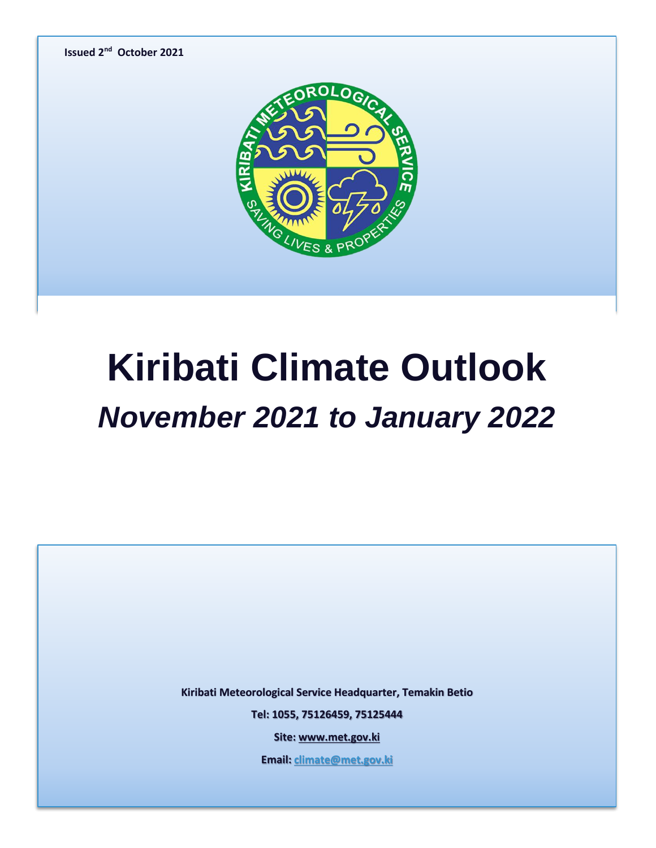

## **Kiribati Climate Outlook** *November 2021 to January 2022*

**Kiribati Meteorological Service Headquarter, Temakin Betio**

**Tel: 1055, 75126459, 75125444**

**Site[: www.met.gov.ki](http://www.met.gov.ki/)**

**Email[: climate@met.gov.ki](mailto:climate@met.gov.ki)**

**Page 0 of 5**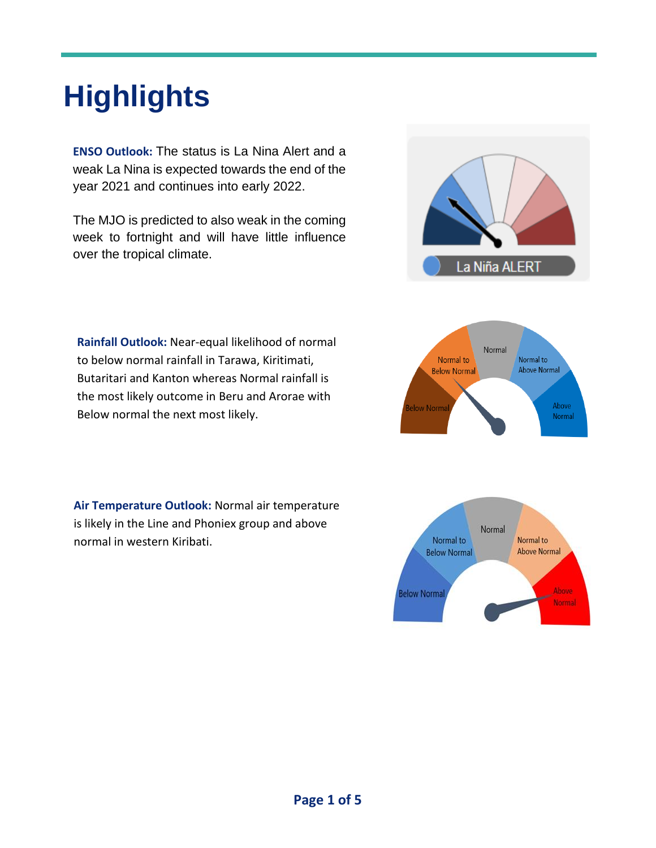### **Highlights**

**ENSO Outlook:** The status is La Nina Alert and a weak La Nina is expected towards the end of the year 2021 and continues into early 2022.

The MJO is predicted to also weak in the coming week to fortnight and will have little influence over the tropical climate.



**Air Temperature Outlook:** Normal air temperature is likely in the Line and Phoniex group and above normal in western Kiribati.





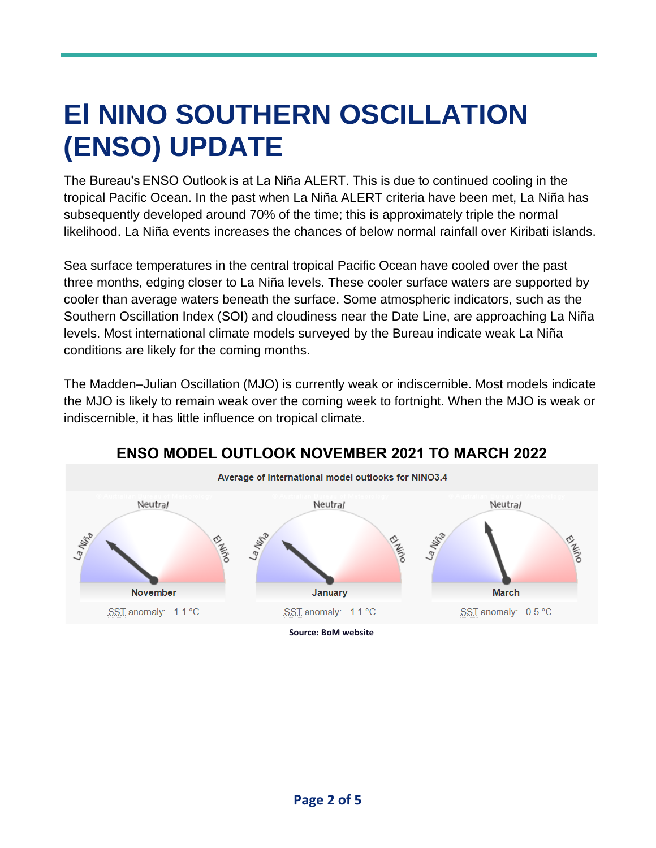### **El NINO SOUTHERN OSCILLATION (ENSO) UPDATE**

The Bureau's ENSO Outlook is at La Niña ALERT. This is due to continued cooling in the tropical Pacific Ocean. In the past when La Niña ALERT criteria have been met, La Niña has subsequently developed around 70% of the time; this is approximately triple the normal likelihood. La Niña events increases the chances of below normal rainfall over Kiribati islands.

Sea surface temperatures in the central tropical Pacific Ocean have cooled over the past three months, edging closer to La Niña levels. These cooler surface waters are supported by cooler than average waters beneath the surface. Some atmospheric indicators, such as the Southern Oscillation Index (SOI) and cloudiness near the Date Line, are approaching La Niña levels. Most international climate models surveyed by the Bureau indicate weak La Niña conditions are likely for the coming months.

The Madden–Julian Oscillation (MJO) is currently weak or indiscernible. Most models indicate the MJO is likely to remain weak over the coming week to fortnight. When the MJO is weak or indiscernible, it has little influence on tropical climate.

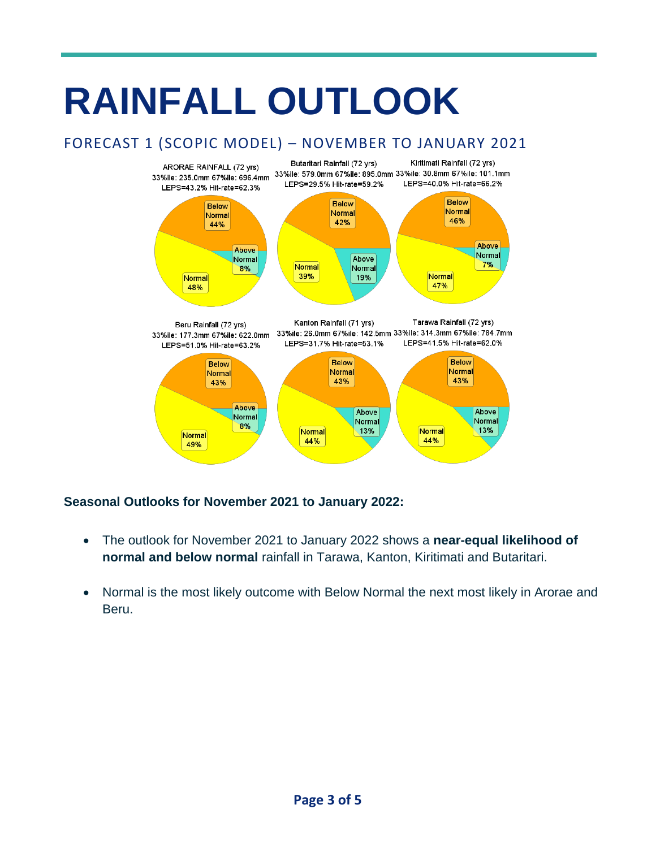## **RAINFALL OUTLOOK**

### FORECAST 1 (SCOPIC MODEL) – NOVEMBER TO JANUARY 2021



#### **Seasonal Outlooks for November 2021 to January 2022:**

- The outlook for November 2021 to January 2022 shows a **near-equal likelihood of normal and below normal** rainfall in Tarawa, Kanton, Kiritimati and Butaritari.
- Normal is the most likely outcome with Below Normal the next most likely in Arorae and Beru.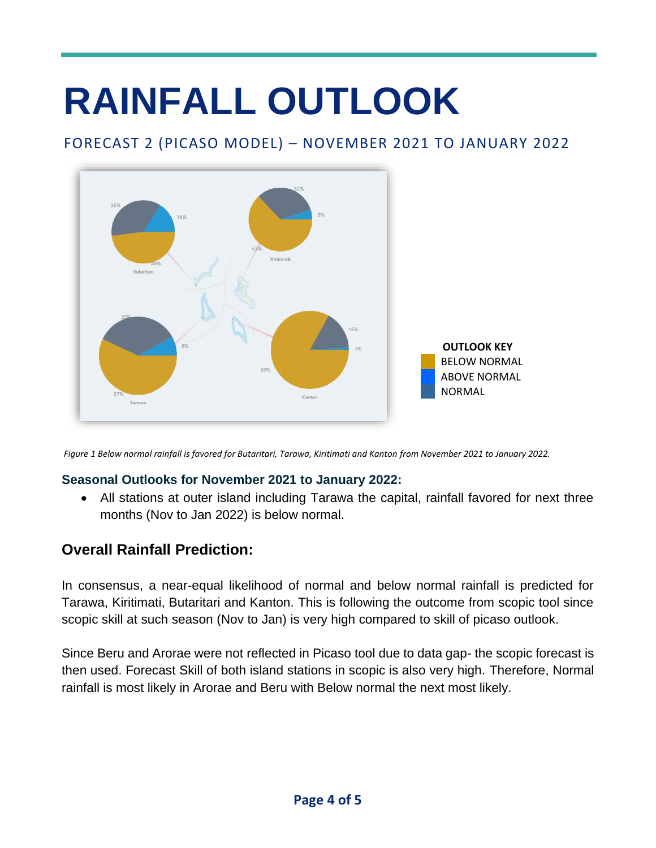# **RAINFALL OUTLOOK**

### FORECAST 2 (PICASO MODEL) – NOVEMBER 2021 TO JANUARY 2022



*Figure 1 Below normal rainfall is favored for Butaritari, Tarawa, Kiritimati and Kanton from November 2021 to January 2022.*

#### **Seasonal Outlooks for November 2021 to January 2022:**

• All stations at outer island including Tarawa the capital, rainfall favored for next three months (Nov to Jan 2022) is below normal.

### **Overall Rainfall Prediction:**

In consensus, a near-equal likelihood of normal and below normal rainfall is predicted for Tarawa, Kiritimati, Butaritari and Kanton. This is following the outcome from scopic tool since scopic skill at such season (Nov to Jan) is very high compared to skill of picaso outlook.

Since Beru and Arorae were not reflected in Picaso tool due to data gap- the scopic forecast is then used. Forecast Skill of both island stations in scopic is also very high. Therefore, Normal rainfall is most likely in Arorae and Beru with Below normal the next most likely.